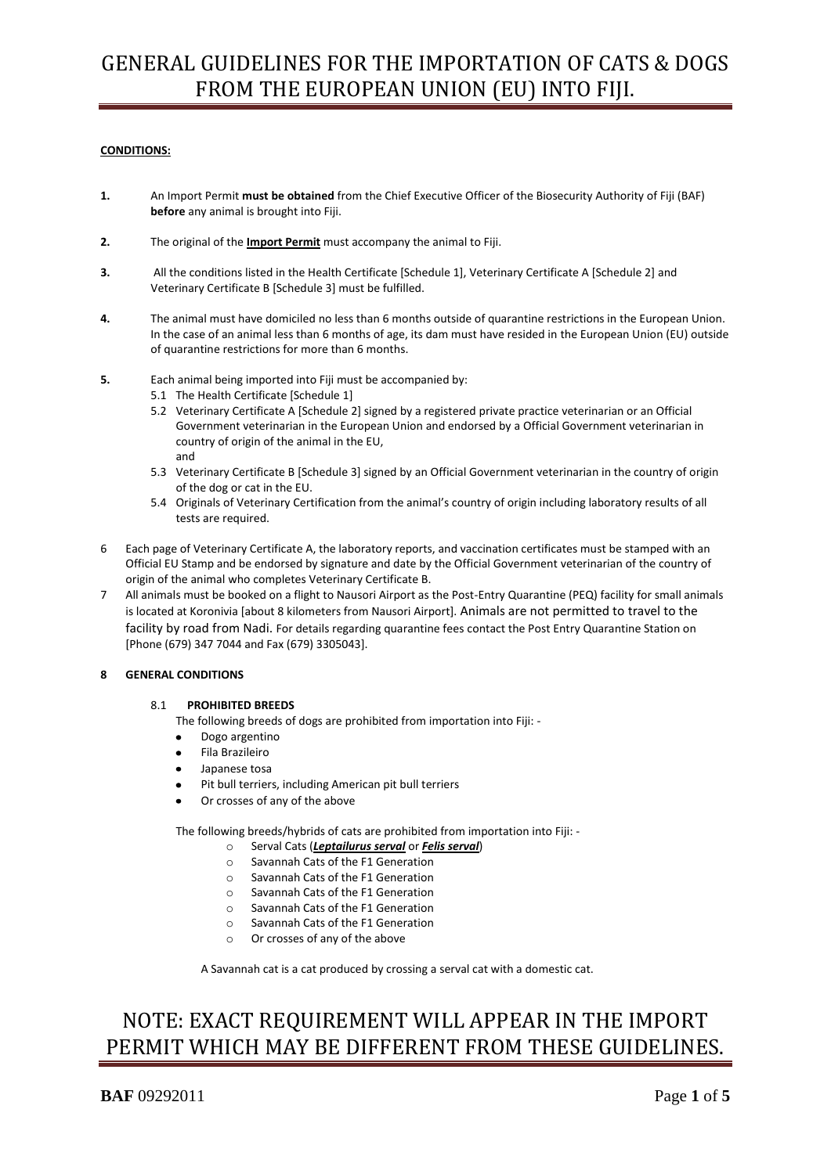# GENERAL GUIDELINES FOR THE IMPORTATION OF CATS & DOGS FROM THE EUROPEAN UNION (EU) INTO FIJI.

# **CONDITIONS:**

- **1.** An Import Permit **must be obtained** from the Chief Executive Officer of the Biosecurity Authority of Fiji (BAF) **before** any animal is brought into Fiji.
- **2.** The original of the **Import Permit** must accompany the animal to Fiji.
- **3.** All the conditions listed in the Health Certificate [Schedule 1], Veterinary Certificate A [Schedule 2] and Veterinary Certificate B [Schedule 3] must be fulfilled.
- **4.** The animal must have domiciled no less than 6 months outside of quarantine restrictions in the European Union. In the case of an animal less than 6 months of age, its dam must have resided in the European Union (EU) outside of quarantine restrictions for more than 6 months.
- **5.** Each animal being imported into Fiji must be accompanied by:
	- 5.1 The Health Certificate [Schedule 1]
	- 5.2 Veterinary Certificate A [Schedule 2] signed by a registered private practice veterinarian or an Official Government veterinarian in the European Union and endorsed by a Official Government veterinarian in country of origin of the animal in the EU, and
	- 5.3 Veterinary Certificate B [Schedule 3] signed by an Official Government veterinarian in the country of origin of the dog or cat in the EU.
	- 5.4 Originals of Veterinary Certification from the animal's country of origin including laboratory results of all tests are required.
- 6 Each page of Veterinary Certificate A, the laboratory reports, and vaccination certificates must be stamped with an Official EU Stamp and be endorsed by signature and date by the Official Government veterinarian of the country of origin of the animal who completes Veterinary Certificate B.
- 7 All animals must be booked on a flight to Nausori Airport as the Post-Entry Quarantine (PEQ) facility for small animals is located at Koronivia [about 8 kilometers from Nausori Airport]. Animals are not permitted to travel to the facility by road from Nadi. For details regarding quarantine fees contact the Post Entry Quarantine Station on [Phone (679) 347 7044 and Fax (679) 3305043].

## **8 GENERAL CONDITIONS**

## 8.1 **PROHIBITED BREEDS**

The following breeds of dogs are prohibited from importation into Fiji: -

- Dogo argentino
- Fila Brazileiro
- Japanese tosa
- Pit bull terriers, including American pit bull terriers
- Or crosses of any of the above

The following breeds/hybrids of cats are prohibited from importation into Fiji: -

- o Serval Cats (*Leptailurus serval* or *Felis serval*)
- o Savannah Cats of the F1 Generation
- o Savannah Cats of the F1 Generation
- o Savannah Cats of the F1 Generation
- o Savannah Cats of the F1 Generation
- o Savannah Cats of the F1 Generation
- o Or crosses of any of the above

A Savannah cat is a cat produced by crossing a serval cat with a domestic cat.

# NOTE: EXACT REQUIREMENT WILL APPEAR IN THE IMPORT PERMIT WHICH MAY BE DIFFERENT FROM THESE GUIDELINES.

**BAF** 09292011 Page 1 of 5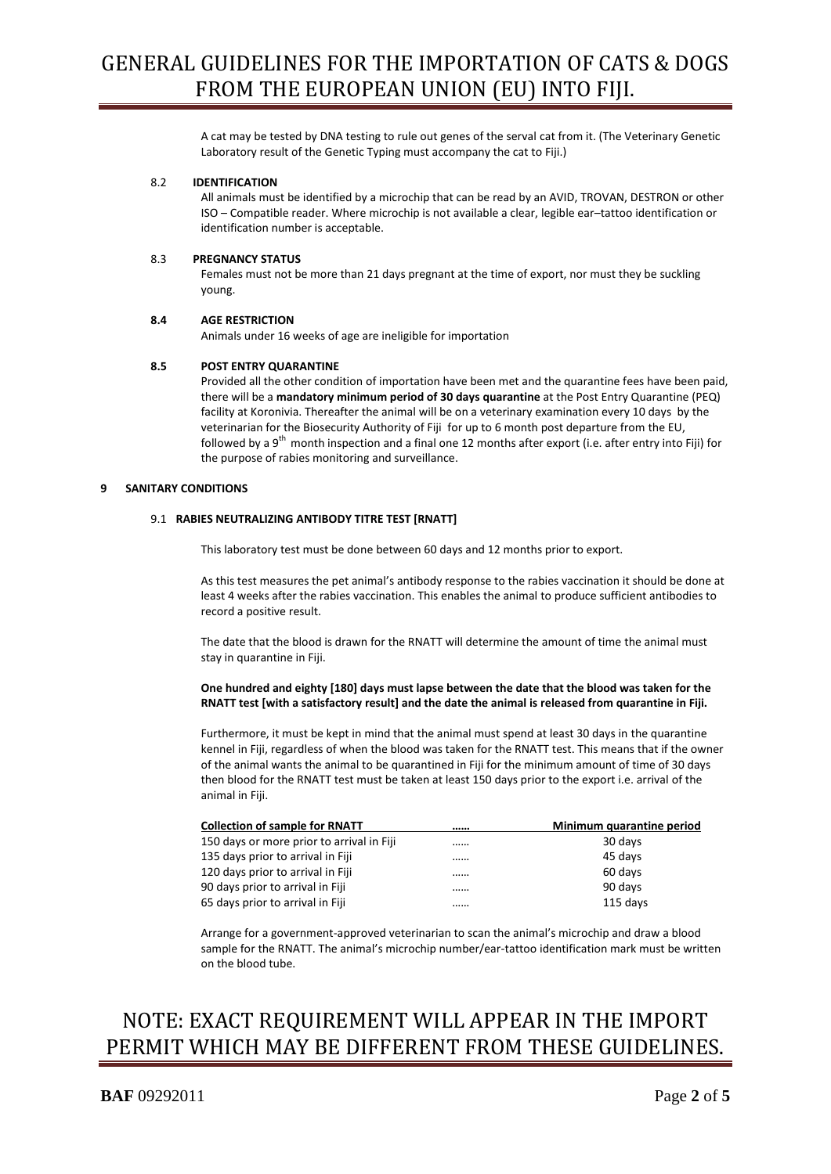A cat may be tested by DNA testing to rule out genes of the serval cat from it. (The Veterinary Genetic Laboratory result of the Genetic Typing must accompany the cat to Fiji.)

## 8.2 **IDENTIFICATION**

All animals must be identified by a microchip that can be read by an AVID, TROVAN, DESTRON or other ISO – Compatible reader. Where microchip is not available a clear, legible ear–tattoo identification or identification number is acceptable.

#### 8.3 **PREGNANCY STATUS**

Females must not be more than 21 days pregnant at the time of export, nor must they be suckling young.

#### **8.4 AGE RESTRICTION**

Animals under 16 weeks of age are ineligible for importation

#### **8.5 POST ENTRY QUARANTINE**

Provided all the other condition of importation have been met and the quarantine fees have been paid, there will be a **mandatory minimum period of 30 days quarantine** at the Post Entry Quarantine (PEQ) facility at Koronivia. Thereafter the animal will be on a veterinary examination every 10 days by the veterinarian for the Biosecurity Authority of Fiji for up to 6 month post departure from the EU, followed by a 9<sup>th</sup> month inspection and a final one 12 months after export (i.e. after entry into Fiji) for the purpose of rabies monitoring and surveillance.

#### **9 SANITARY CONDITIONS**

#### 9.1 **RABIES NEUTRALIZING ANTIBODY TITRE TEST [RNATT]**

This laboratory test must be done between 60 days and 12 months prior to export.

As this test measures the pet animal's antibody response to the rabies vaccination it should be done at least 4 weeks after the rabies vaccination. This enables the animal to produce sufficient antibodies to record a positive result.

The date that the blood is drawn for the RNATT will determine the amount of time the animal must stay in quarantine in Fiji.

## **One hundred and eighty [180] days must lapse between the date that the blood was taken for the RNATT test [with a satisfactory result] and the date the animal is released from quarantine in Fiji.**

Furthermore, it must be kept in mind that the animal must spend at least 30 days in the quarantine kennel in Fiji, regardless of when the blood was taken for the RNATT test. This means that if the owner of the animal wants the animal to be quarantined in Fiji for the minimum amount of time of 30 days then blood for the RNATT test must be taken at least 150 days prior to the export i.e. arrival of the animal in Fiji.

| <b>Collection of sample for RNATT</b>     | <br>Minimum quarantine period |
|-------------------------------------------|-------------------------------|
| 150 days or more prior to arrival in Fiji | <br>30 days                   |
| 135 days prior to arrival in Fiji         | <br>45 days                   |
| 120 days prior to arrival in Fiji         | <br>60 days                   |
| 90 days prior to arrival in Fiji          | <br>90 days                   |
| 65 days prior to arrival in Fiji          | <br>115 days                  |

Arrange for a government-approved veterinarian to scan the animal's microchip and draw a blood sample for the RNATT. The animal's microchip number/ear-tattoo identification mark must be written on the blood tube.

# NOTE: EXACT REQUIREMENT WILL APPEAR IN THE IMPORT PERMIT WHICH MAY BE DIFFERENT FROM THESE GUIDELINES.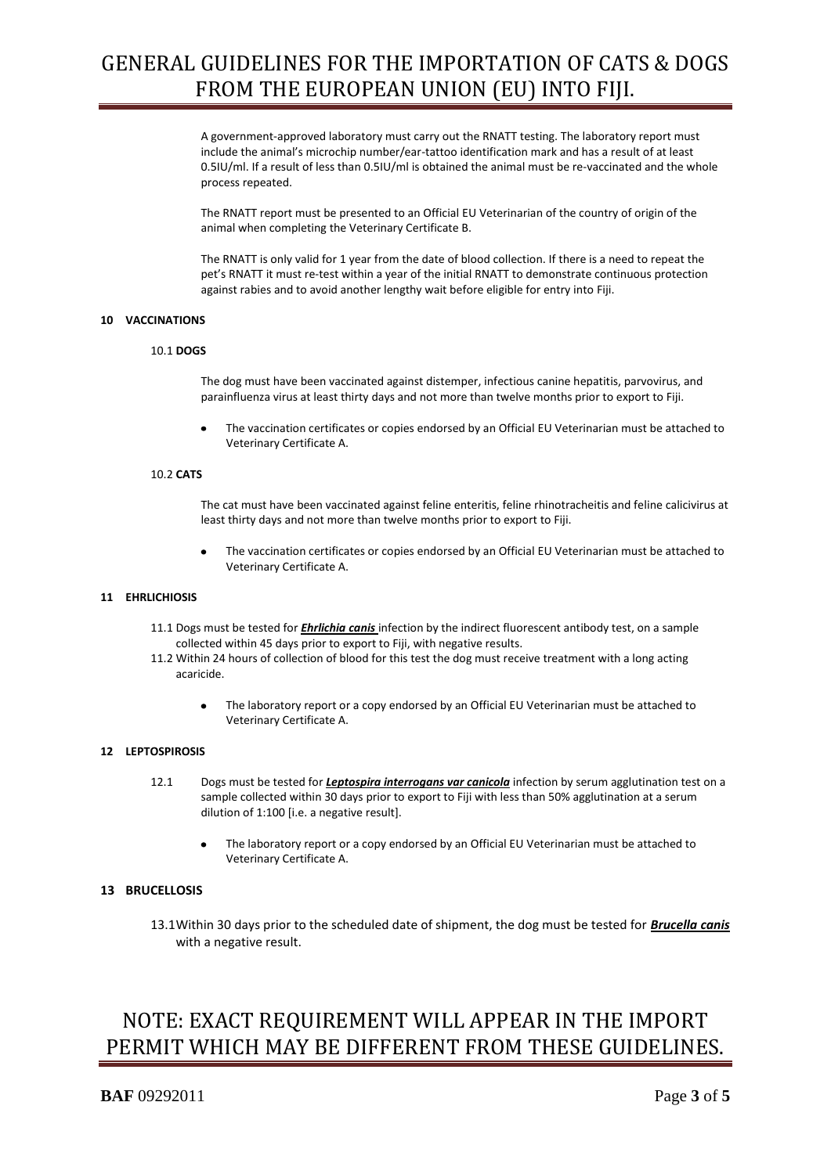# GENERAL GUIDELINES FOR THE IMPORTATION OF CATS & DOGS FROM THE EUROPEAN UNION (EU) INTO FIJI.

A government-approved laboratory must carry out the RNATT testing. The laboratory report must include the animal's microchip number/ear-tattoo identification mark and has a result of at least 0.5IU/ml. If a result of less than 0.5IU/ml is obtained the animal must be re-vaccinated and the whole process repeated.

The RNATT report must be presented to an Official EU Veterinarian of the country of origin of the animal when completing the Veterinary Certificate B.

The RNATT is only valid for 1 year from the date of blood collection. If there is a need to repeat the pet's RNATT it must re-test within a year of the initial RNATT to demonstrate continuous protection against rabies and to avoid another lengthy wait before eligible for entry into Fiji.

### **10 VACCINATIONS**

#### 10.1 **DOGS**

The dog must have been vaccinated against distemper, infectious canine hepatitis, parvovirus, and parainfluenza virus at least thirty days and not more than twelve months prior to export to Fiji.

The vaccination certificates or copies endorsed by an Official EU Veterinarian must be attached to Veterinary Certificate A.

#### 10.2 **CATS**

The cat must have been vaccinated against feline enteritis, feline rhinotracheitis and feline calicivirus at least thirty days and not more than twelve months prior to export to Fiji.

The vaccination certificates or copies endorsed by an Official EU Veterinarian must be attached to Veterinary Certificate A.

#### **11 EHRLICHIOSIS**

- 11.1 Dogs must be tested for *Ehrlichia canis* infection by the indirect fluorescent antibody test, on a sample collected within 45 days prior to export to Fiji, with negative results.
- 11.2 Within 24 hours of collection of blood for this test the dog must receive treatment with a long acting acaricide.
	- The laboratory report or a copy endorsed by an Official EU Veterinarian must be attached to Veterinary Certificate A.

### **12 LEPTOSPIROSIS**

- 12.1 Dogs must be tested for *Leptospira interrogans var canicola* infection by serum agglutination test on a sample collected within 30 days prior to export to Fiji with less than 50% agglutination at a serum dilution of 1:100 [i.e. a negative result].
	- The laboratory report or a copy endorsed by an Official EU Veterinarian must be attached to Veterinary Certificate A.

# **13 BRUCELLOSIS**

13.1Within 30 days prior to the scheduled date of shipment, the dog must be tested for *Brucella canis* with a negative result.

# NOTE: EXACT REQUIREMENT WILL APPEAR IN THE IMPORT PERMIT WHICH MAY BE DIFFERENT FROM THESE GUIDELINES.

# **BAF** 09292011 Page 3 of 5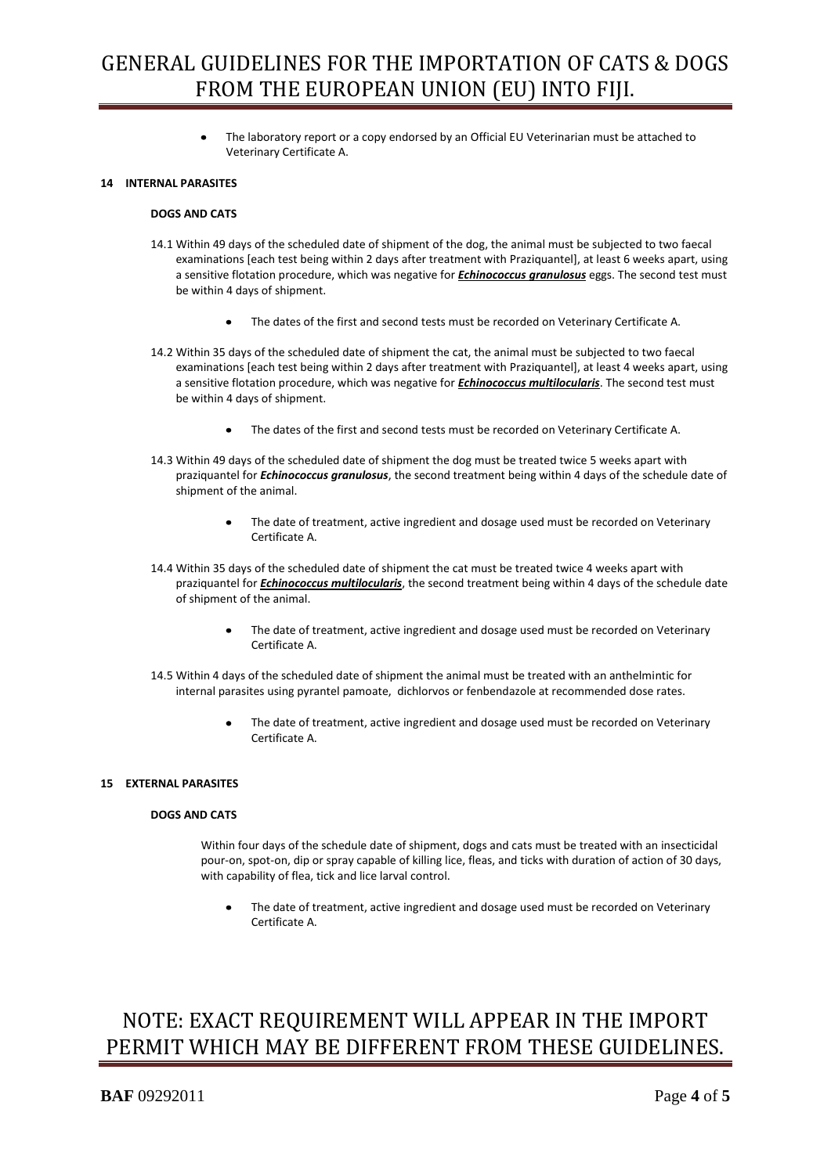The laboratory report or a copy endorsed by an Official EU Veterinarian must be attached to Veterinary Certificate A.

## **14 INTERNAL PARASITES**

#### **DOGS AND CATS**

- 14.1 Within 49 days of the scheduled date of shipment of the dog, the animal must be subjected to two faecal examinations [each test being within 2 days after treatment with Praziquantel], at least 6 weeks apart, using a sensitive flotation procedure, which was negative for *Echinococcus granulosus* eggs. The second test must be within 4 days of shipment.
	- The dates of the first and second tests must be recorded on Veterinary Certificate A.  $\bullet$
- 14.2 Within 35 days of the scheduled date of shipment the cat, the animal must be subjected to two faecal examinations [each test being within 2 days after treatment with Praziquantel], at least 4 weeks apart, using a sensitive flotation procedure, which was negative for *Echinococcus multilocularis*. The second test must be within 4 days of shipment.
	- The dates of the first and second tests must be recorded on Veterinary Certificate A.  $\bullet$
- 14.3 Within 49 days of the scheduled date of shipment the dog must be treated twice 5 weeks apart with praziquantel for *Echinococcus granulosus*, the second treatment being within 4 days of the schedule date of shipment of the animal.
	- The date of treatment, active ingredient and dosage used must be recorded on Veterinary Certificate A.
- 14.4 Within 35 days of the scheduled date of shipment the cat must be treated twice 4 weeks apart with praziquantel for *Echinococcus multilocularis*, the second treatment being within 4 days of the schedule date of shipment of the animal.
	- The date of treatment, active ingredient and dosage used must be recorded on Veterinary Certificate A.
- 14.5 Within 4 days of the scheduled date of shipment the animal must be treated with an anthelmintic for internal parasites using pyrantel pamoate, dichlorvos or fenbendazole at recommended dose rates.
	- The date of treatment, active ingredient and dosage used must be recorded on Veterinary Certificate A.

## **15 EXTERNAL PARASITES**

## **DOGS AND CATS**

Within four days of the schedule date of shipment, dogs and cats must be treated with an insecticidal pour-on, spot-on, dip or spray capable of killing lice, fleas, and ticks with duration of action of 30 days, with capability of flea, tick and lice larval control.

The date of treatment, active ingredient and dosage used must be recorded on Veterinary Certificate A.

# NOTE: EXACT REQUIREMENT WILL APPEAR IN THE IMPORT PERMIT WHICH MAY BE DIFFERENT FROM THESE GUIDELINES.